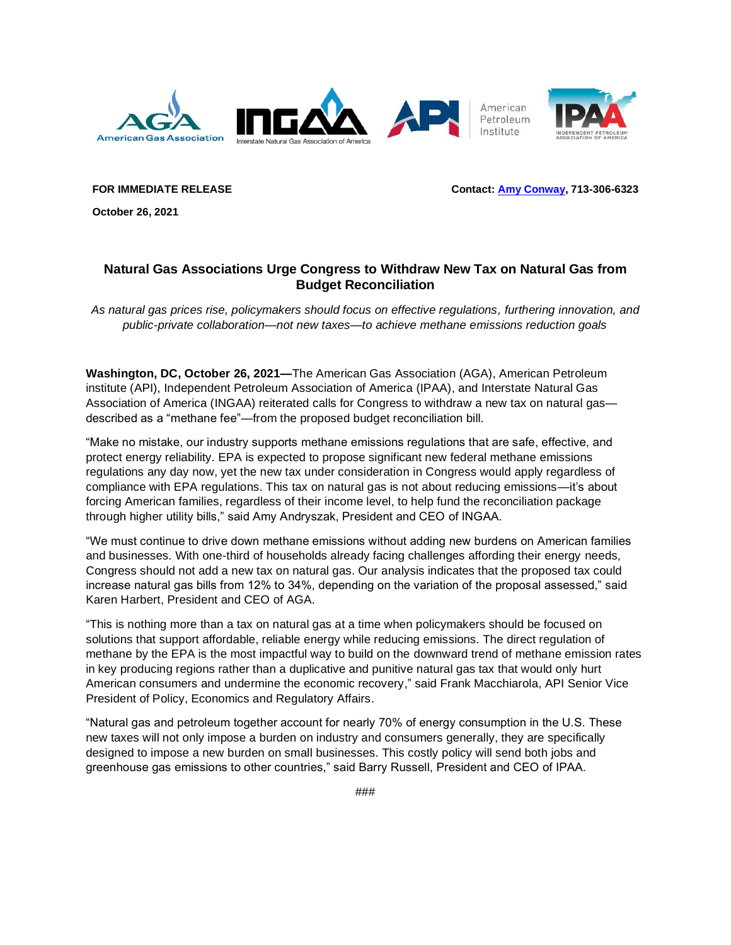

**FOR IMMEDIATE RELEASE Contact: [Amy Conway,](mailto:media@ingaa.org) 713-306-6323**

**October 26, 2021** 

## **Natural Gas Associations Urge Congress to Withdraw New Tax on Natural Gas from Budget Reconciliation**

*As natural gas prices rise, policymakers should focus on effective regulations, furthering innovation, and public-private collaboration—not new taxes—to achieve methane emissions reduction goals*

**Washington, DC, October 26, 2021—**The American Gas Association (AGA), American Petroleum institute (API), Independent Petroleum Association of America (IPAA), and Interstate Natural Gas Association of America (INGAA) reiterated calls for Congress to withdraw a new tax on natural gas described as a "methane fee"—from the proposed budget reconciliation bill.

"Make no mistake, our industry supports methane emissions regulations that are safe, effective, and protect energy reliability. EPA is expected to propose significant new federal methane emissions regulations any day now, yet the new tax under consideration in Congress would apply regardless of compliance with EPA regulations. This tax on natural gas is not about reducing emissions—it's about forcing American families, regardless of their income level, to help fund the reconciliation package through higher utility bills," said Amy Andryszak, President and CEO of INGAA.

"We must continue to drive down methane emissions without adding new burdens on American families and businesses. With one-third of households already facing challenges affording their energy needs, Congress should not add a new tax on natural gas. Our analysis indicates that the proposed tax could increase natural gas bills from 12% to 34%, depending on the variation of the proposal assessed," said Karen Harbert, President and CEO of AGA.

"This is nothing more than a tax on natural gas at a time when policymakers should be focused on solutions that support affordable, reliable energy while reducing emissions. The direct regulation of methane by the EPA is the most impactful way to build on the downward trend of methane emission rates in key producing regions rather than a duplicative and punitive natural gas tax that would only hurt American consumers and undermine the economic recovery," said Frank Macchiarola, API Senior Vice President of Policy, Economics and Regulatory Affairs.

"Natural gas and petroleum together account for nearly 70% of energy consumption in the U.S. These new taxes will not only impose a burden on industry and consumers generally, they are specifically designed to impose a new burden on small businesses. This costly policy will send both jobs and greenhouse gas emissions to other countries," said Barry Russell, President and CEO of IPAA.